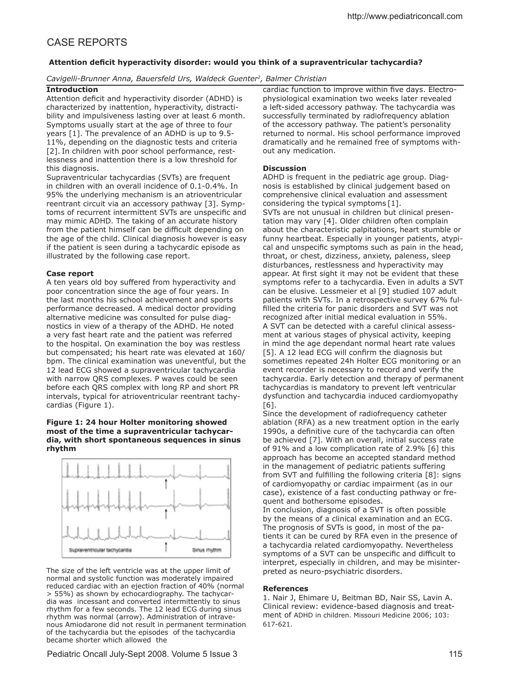# CASE REPORTS

## **Attention deicit hyperactivity disorder: would you think of a supraventricular tachycardia?**

*Cavigelli-Brunner Anna, Bauersfeld Urs, Waldeck Guenter<sup>2</sup> , Balmer Christian*

#### **Introduction**

Attention deficit and hyperactivity disorder (ADHD) is characterized by inattention, hyperactivity, distractibility and impulsiveness lasting over at least 6 month. Symptoms usually start at the age of three to four years [1]. The prevalence of an ADHD is up to 9.5- 11%, depending on the diagnostic tests and criteria [2]. In children with poor school performance, restlessness and inattention there is a low threshold for this diagnosis.

Supraventricular tachycardias (SVTs) are frequent in children with an overall incidence of 0.1-0.4%. In 95% the underlying mechanism is an atrioventricular reentrant circuit via an accessory pathway [3]. Symptoms of recurrent intermittent SVTs are unspecific and may mimic ADHD. The taking of an accurate history from the patient himself can be difficult depending on the age of the child. Clinical diagnosis however is easy if the patient is seen during a tachycardic episode as illustrated by the following case report.

## **Case report**

A ten years old boy sufered from hyperactivity and poor concentration since the age of four years. In the last months his school achievement and sports performance decreased. A medical doctor providing alternative medicine was consulted for pulse diagnostics in view of a therapy of the ADHD. He noted a very fast heart rate and the patient was referred to the hospital. On examination the boy was restless but compensated; his heart rate was elevated at 160/ bpm. The clinical examination was uneventful, but the 12 lead ECG showed a supraventricular tachycardia with narrow QRS complexes. P waves could be seen before each QRS complex with long RP and short PR intervals, typical for atrioventricular reentrant tachycardias (Figure 1).

#### **Figure 1: 24 hour Holter monitoring showed most of the time a supraventricular tachycardia, with short spontaneous sequences in sinus rhythm**



The size of the left ventricle was at the upper limit of normal and systolic function was moderately impaired reduced cardiac with an ejection fraction of 40% (normal > 55%) as shown by echocardiography. The tachycardia was incessant and converted intermittently to sinus rhythm for a few seconds. The 12 lead ECG during sinus rhythm was normal (arrow). Administration of intravenous Amiodarone did not result in permanent termination of the tachycardia but the episodes of the tachycardia became shorter which allowed the

cardiac function to improve within five days. Electrophysiological examination two weeks later revealed a left-sided accessory pathway. The tachycardia was successfully terminated by radiofrequency ablation of the accessory pathway. The patient's personality returned to normal. His school performance improved dramatically and he remained free of symptoms without any medication.

## **Discussion**

ADHD is frequent in the pediatric age group. Diagnosis is established by clinical judgement based on comprehensive clinical evaluation and assessment considering the typical symptoms [1]. SVTs are not unusual in children but clinical presentation may vary [4]. Older children often complain about the characteristic palpitations, heart stumble or funny heartbeat. Especially in younger patients, atypical and unspecific symptoms such as pain in the head, throat, or chest, dizziness, anxiety, paleness, sleep disturbances, restlessness and hyperactivity may appear. At first sight it may not be evident that these symptoms refer to a tachycardia. Even in adults a SVT can be elusive. Lessmeier et al [9] studied 107 adult patients with SVTs. In a retrospective survey 67% fulfilled the criteria for panic disorders and SVT was not recognized after initial medical evaluation in 55%. A SVT can be detected with a careful clinical assessment at various stages of physical activity, keeping in mind the age dependant normal heart rate values [5]. A 12 lead ECG will confirm the diagnosis but sometimes repeated 24h Holter ECG monitoring or an event recorder is necessary to record and verify the tachycardia. Early detection and therapy of permanent tachycardias is mandatory to prevent left ventricular dysfunction and tachycardia induced cardiomyopathy [6].

Since the development of radiofrequency catheter ablation (RFA) as a new treatment option in the early 1990s, a definitive cure of the tachycardia can often be achieved [7]. With an overall, initial success rate of 91% and a low complication rate of 2.9% [6] this approach has become an accepted standard method in the management of pediatric patients suffering from SVT and fulfilling the following criteria [8]: signs of cardiomyopathy or cardiac impairment (as in our case), existence of a fast conducting pathway or frequent and bothersome episodes.

In conclusion, diagnosis of a SVT is often possible by the means of a clinical examination and an ECG. The prognosis of SVTs is good, in most of the patients it can be cured by RFA even in the presence of a tachycardia related cardiomyopathy. Nevertheless symptoms of a SVT can be unspecific and difficult to interpret, especially in children, and may be misinterpreted as neuro-psychiatric disorders.

## **References**

1. Nair J, Ehimare U, Beitman BD, Nair SS, Lavin A. Clinical review: evidence-based diagnosis and treatment of ADHD in children. Missouri Medicine 2006; 103: 617-621.

Pediatric Oncall July-Sept 2008. Volume 5 Issue 3